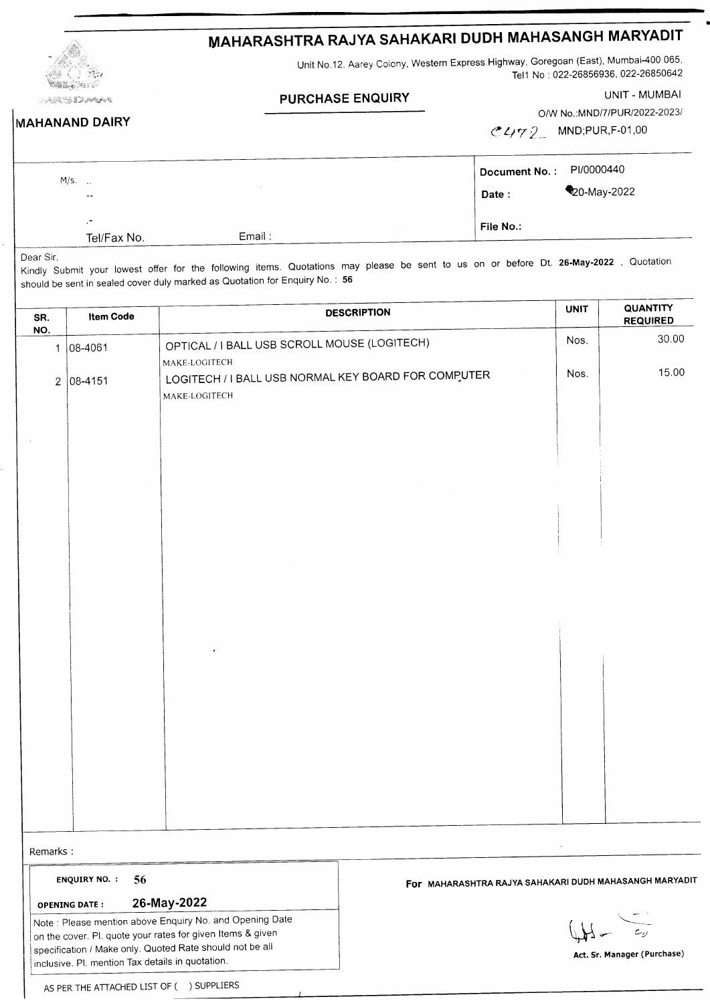| MAHARASHTRA RAJYA SAHAKARI DUDH MAHASANGH MARYAD. . |  |
|-----------------------------------------------------|--|
|-----------------------------------------------------|--|

 $\mathbb{H}_\ell$ tario ANA SA <mark>DA A</mark>TANG Unit No.12. Aarey Colony, Western Express Highway, Goregoan (East), Mumbai-400 065, Tel1 No : 022-26856936, 022-26850642

## **PURCHASE ENQUIRY**

UNIT - MUMBAI

|  |  | <b>MAHANAND DAIRY</b> |  |  |
|--|--|-----------------------|--|--|
|--|--|-----------------------|--|--|

O/W No.:MND/7/PUR/2022-2023/  $1415515550400$ 

| C472 | MND;PUR,F-01,00 |
|------|-----------------|
|------|-----------------|

| $M/s.$ . | $\sim$ $\sim$            |        | Document No.: PI/0000440<br>Date: | 20-May-2022 |
|----------|--------------------------|--------|-----------------------------------|-------------|
|          | $\bullet$<br>Tel/Fax No. | Email: | File No.:                         |             |

Dear Sir,

Kindly Submit your lowest offer for the following items. Quotations may please be sent to us on or before Dt. 26-May-2022, Quotation should be sent in sealed cover duly marked as Quotation for Enquiry No. : 56

| SR.<br>NO.                                                                                                                                                                                                                                                                    | <b>Item Code</b>           |                                                                      | <b>DESCRIPTION</b>                                     | <b>UNIT</b>                              | <b>QUANTITY</b><br><b>REQUIRED</b> |
|-------------------------------------------------------------------------------------------------------------------------------------------------------------------------------------------------------------------------------------------------------------------------------|----------------------------|----------------------------------------------------------------------|--------------------------------------------------------|------------------------------------------|------------------------------------|
|                                                                                                                                                                                                                                                                               | $1 08-4061$                | OPTICAL / I BALL USB SCROLL MOUSE (LOGITECH)<br>MAKE-LOGITECH        |                                                        | Nos.                                     | 30.00                              |
|                                                                                                                                                                                                                                                                               | $2 08-4151$                | LOGITECH / I BALL USB NORMAL KEY BOARD FOR COMPUTER<br>MAKE-LOGITECH |                                                        | Nos.                                     | 15.00                              |
|                                                                                                                                                                                                                                                                               |                            |                                                                      |                                                        |                                          |                                    |
|                                                                                                                                                                                                                                                                               |                            |                                                                      |                                                        |                                          |                                    |
|                                                                                                                                                                                                                                                                               |                            |                                                                      |                                                        |                                          |                                    |
|                                                                                                                                                                                                                                                                               |                            |                                                                      |                                                        |                                          |                                    |
|                                                                                                                                                                                                                                                                               |                            |                                                                      |                                                        |                                          |                                    |
|                                                                                                                                                                                                                                                                               |                            |                                                                      |                                                        |                                          |                                    |
|                                                                                                                                                                                                                                                                               |                            |                                                                      |                                                        |                                          |                                    |
|                                                                                                                                                                                                                                                                               |                            |                                                                      |                                                        |                                          |                                    |
|                                                                                                                                                                                                                                                                               |                            |                                                                      |                                                        |                                          |                                    |
| Remarks:                                                                                                                                                                                                                                                                      |                            |                                                                      |                                                        |                                          |                                    |
|                                                                                                                                                                                                                                                                               | <b>ENQUIRY NO. :</b><br>56 |                                                                      | FOF MAHARASHTRA RAJYA SAHAKARI DUDH MAHASANGH MARYADIT |                                          |                                    |
| 26-May-2022<br><b>OPENING DATE:</b><br>Note : Please mention above Enquiry No. and Opening Date<br>on the cover. Pl. quote your rates for given Items & given<br>specification / Make only. Quoted Rate should not be all<br>inclusive. Pl. mention Tax details in quotation. |                            |                                                                      |                                                        | $c_{\nu}$<br>Act. Sr. Manager (Purchase) |                                    |